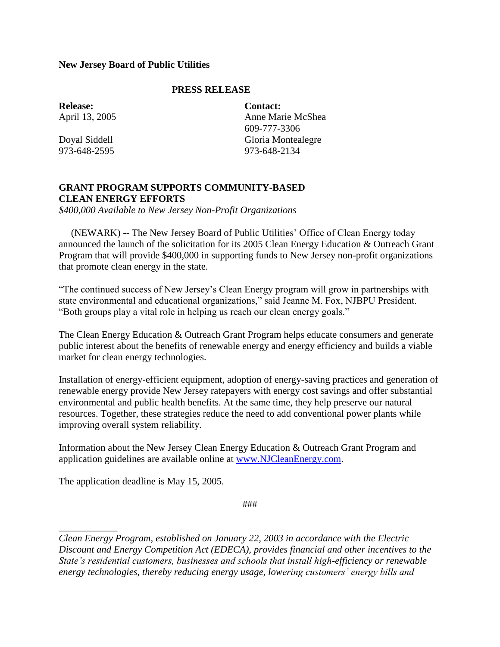## **New Jersey Board of Public Utilities**

## **PRESS RELEASE**

**Release:** April 13, 2005

Doyal Siddell 973-648-2595

**Contact:** Anne Marie McShea 609-777-3306 Gloria Montealegre 973-648-2134

## **GRANT PROGRAM SUPPORTS COMMUNITY-BASED CLEAN ENERGY EFFORTS**

*\$400,000 Available to New Jersey Non-Profit Organizations*

 (NEWARK) -- The New Jersey Board of Public Utilities' Office of Clean Energy today announced the launch of the solicitation for its 2005 Clean Energy Education & Outreach Grant Program that will provide \$400,000 in supporting funds to New Jersey non-profit organizations that promote clean energy in the state.

"The continued success of New Jersey's Clean Energy program will grow in partnerships with state environmental and educational organizations," said Jeanne M. Fox, NJBPU President. "Both groups play a vital role in helping us reach our clean energy goals."

The Clean Energy Education & Outreach Grant Program helps educate consumers and generate public interest about the benefits of renewable energy and energy efficiency and builds a viable market for clean energy technologies.

Installation of energy-efficient equipment, adoption of energy-saving practices and generation of renewable energy provide New Jersey ratepayers with energy cost savings and offer substantial environmental and public health benefits. At the same time, they help preserve our natural resources. Together, these strategies reduce the need to add conventional power plants while improving overall system reliability.

Information about the New Jersey Clean Energy Education & Outreach Grant Program and application guidelines are available online at [www.NJCleanEnergy.com.](http://www.njcleanenergy.com/)

The application deadline is May 15, 2005.

*\_\_\_\_\_\_\_\_\_\_\_\_*

###

*Clean Energy Program, established on January 22, 2003 in accordance with the Electric Discount and Energy Competition Act (EDECA), provides financial and other incentives to the State's residential customers, businesses and schools that install high-efficiency or renewable energy technologies, thereby reducing energy usage, lowering customers' energy bills and*